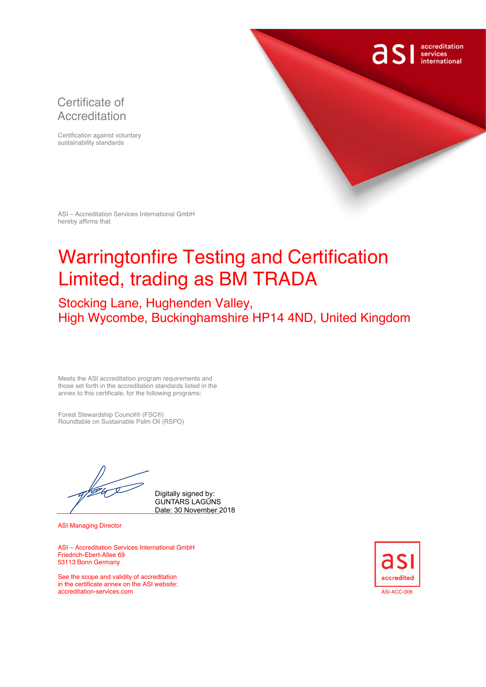### Certificate of Accreditation

Certification against voluntary sustainability standards



ASI – Accreditation Services International GmbH hereby affirms that

# Warringtonfire Testing and Certification Limited, trading as BM TRADA

## Stocking Lane, Hughenden Valley, High Wycombe, Buckinghamshire HP14 4ND, United Kingdom

Meets the ASI accreditation program requirements and those set forth in the accreditation standards listed in the annex to this certificate, for the following programs:

Forest Stewardship Council® (FSC®) Roundtable on Sustainable Palm Oil (RSPO)

Digitally signed by: GUNTARS LAGŪNS Date: 30 November 2018

ASI Managing Director

ASI – Accreditation Services International GmbH Friedrich-Ebert-Allee 69 53113 Bonn Germany

See the scope and validity of accreditation in the certificate annex on the ASI website: accreditation-services.com and the community of the control of the control of the control of the control of the control of the control of the control of the control of the control of the control of the control of the contr